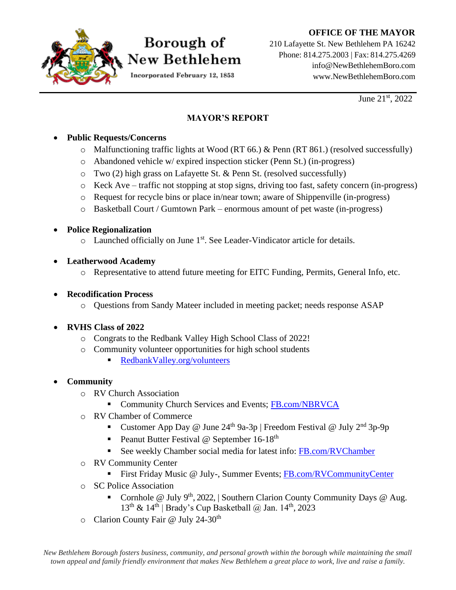#### **OFFICE OF THE MAYOR**



# Borough of New Bethlehem

Incorporated February 12, 1853

210 Lafayette St. New Bethlehem PA 16242 Phone: 814.275.2003 | Fax: 814.275.4269 [info@NewBethlehemBoro.com](mailto:info@NewBethlehemBoro.com) [www.NewBethlehemBoro.com](http://www.newbethlehemboro.com/)

June 21<sup>st</sup>, 2022

### **MAYOR'S REPORT**

### • **Public Requests/Concerns**

- o Malfunctioning traffic lights at Wood (RT 66.) & Penn (RT 861.) (resolved successfully)
- o Abandoned vehicle w/ expired inspection sticker (Penn St.) (in-progress)
- o Two (2) high grass on Lafayette St. & Penn St. (resolved successfully)
- o Keck Ave traffic not stopping at stop signs, driving too fast, safety concern (in-progress)
- o Request for recycle bins or place in/near town; aware of Shippenville (in-progress)
- o Basketball Court / Gumtown Park enormous amount of pet waste (in-progress)
- **Police Regionalization**
	- o Launched officially on June 1<sup>st</sup>. See Leader-Vindicator article for details.
- **Leatherwood Academy**
	- o Representative to attend future meeting for EITC Funding, Permits, General Info, etc.

### • **Recodification Process**

o Questions from Sandy Mateer included in meeting packet; needs response ASAP

## • **RVHS Class of 2022**

- o Congrats to the Redbank Valley High School Class of 2022!
- o Community volunteer opportunities for high school students
	- [RedbankValley.org/volunteers](https://redbankvalley.org/volunteers)

## • **Community**

- o RV Church Association
	- **Community Church Services and Events; [FB.com/NBRVCA](http://fb.com/NBRVCA)**
- o RV Chamber of Commerce
	- Customer App Day @ June 24<sup>th</sup> 9a-3p | Freedom Festival @ July 2<sup>nd</sup> 3p-9p
	- Peanut Butter Festival @ September 16-18<sup>th</sup>
	- See weekly Chamber social media for latest info: [FB.com/RVChamber](http://www.facebook.com/RVChamber)
- o RV Community Center
	- **EXECUTE:** First Friday Music @ July-, Summer Events; [FB.com/RVCommunityCenter](http://facebook.com/RVCommunityCenter)
- o SC Police Association
	- Cornhole @ July 9<sup>th</sup>, 2022, | Southern Clarion County Community Days @ Aug.  $13<sup>th</sup>$  &  $14<sup>th</sup>$  | Brady's Cup Basketball @ Jan.  $14<sup>th</sup>$ , 2023
- $\circ$  Clarion County Fair @ July 24-30<sup>th</sup>